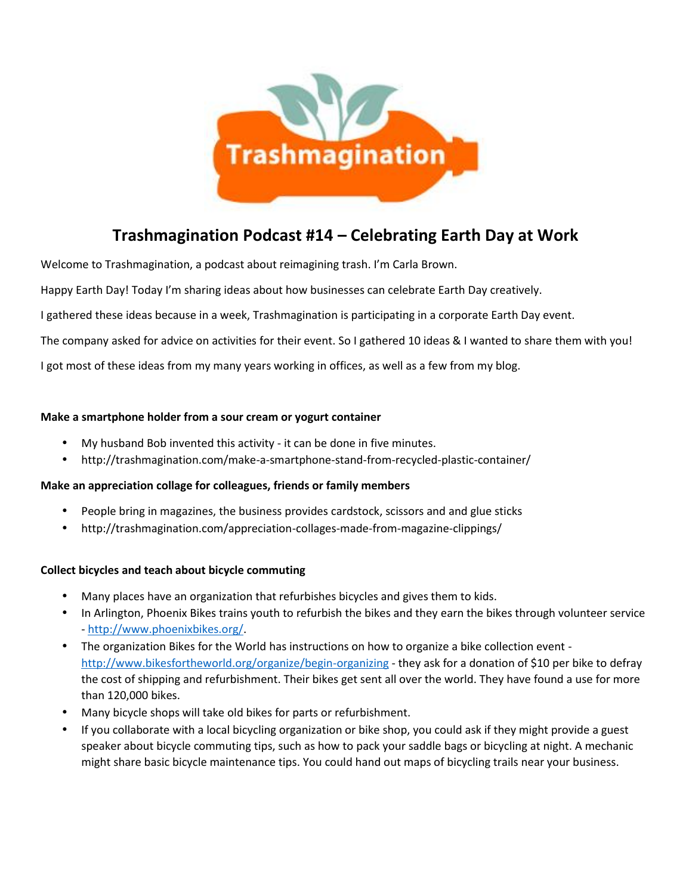

# **Trashmagination Podcast #14 – Celebrating Earth Day at Work**

Welcome to Trashmagination, a podcast about reimagining trash. I'm Carla Brown.

Happy Earth Day! Today I'm sharing ideas about how businesses can celebrate Earth Day creatively.

I gathered these ideas because in a week, Trashmagination is participating in a corporate Earth Day event.

The company asked for advice on activities for their event. So I gathered 10 ideas & I wanted to share them with you!

I got most of these ideas from my many years working in offices, as well as a few from my blog.

#### **Make a smartphone holder from a sour cream or yogurt container**

- My husband Bob invented this activity it can be done in five minutes.
- http://trashmagination.com/make-a-smartphone-stand-from-recycled-plastic-container/

## **Make an appreciation collage for colleagues, friends or family members**

- People bring in magazines, the business provides cardstock, scissors and and glue sticks
- http://trashmagination.com/appreciation-collages-made-from-magazine-clippings/

## **Collect bicycles and teach about bicycle commuting**

- Many places have an organization that refurbishes bicycles and gives them to kids.
- In Arlington, Phoenix Bikes trains youth to refurbish the bikes and they earn the bikes through volunteer service - http://www.phoenixbikes.org/.
- The organization Bikes for the World has instructions on how to organize a bike collection event http://www.bikesfortheworld.org/organize/begin-organizing - they ask for a donation of \$10 per bike to defray the cost of shipping and refurbishment. Their bikes get sent all over the world. They have found a use for more than 120,000 bikes.
- Many bicycle shops will take old bikes for parts or refurbishment.
- If you collaborate with a local bicycling organization or bike shop, you could ask if they might provide a guest speaker about bicycle commuting tips, such as how to pack your saddle bags or bicycling at night. A mechanic might share basic bicycle maintenance tips. You could hand out maps of bicycling trails near your business.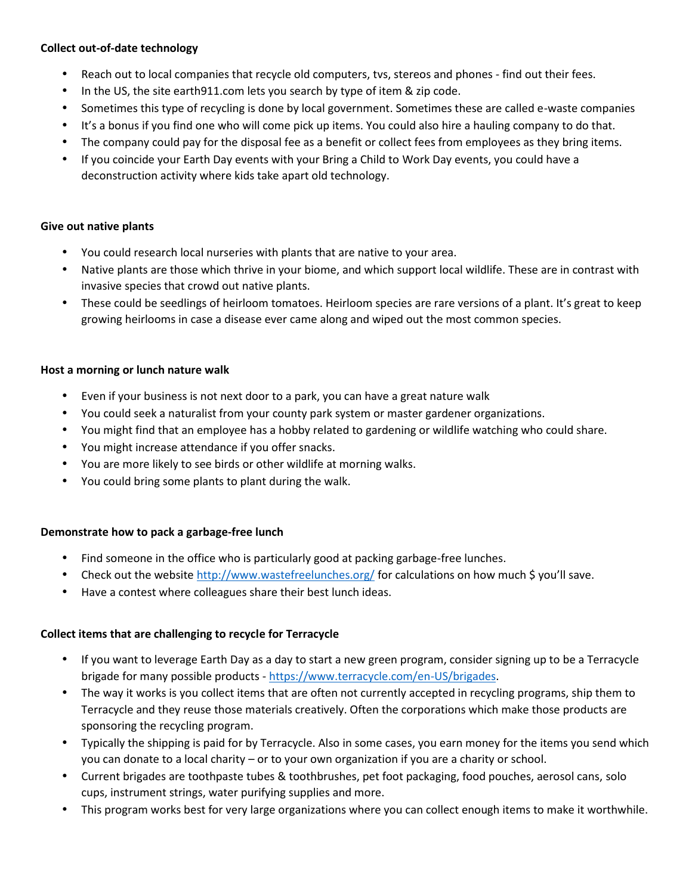## **Collect out-of-date technology**

- Reach out to local companies that recycle old computers, tvs, stereos and phones find out their fees.
- In the US, the site earth911.com lets you search by type of item & zip code.
- Sometimes this type of recycling is done by local government. Sometimes these are called e-waste companies
- It's a bonus if you find one who will come pick up items. You could also hire a hauling company to do that.
- The company could pay for the disposal fee as a benefit or collect fees from employees as they bring items.
- If you coincide your Earth Day events with your Bring a Child to Work Day events, you could have a deconstruction activity where kids take apart old technology.

## **Give out native plants**

- You could research local nurseries with plants that are native to your area.
- Native plants are those which thrive in your biome, and which support local wildlife. These are in contrast with invasive species that crowd out native plants.
- These could be seedlings of heirloom tomatoes. Heirloom species are rare versions of a plant. It's great to keep growing heirlooms in case a disease ever came along and wiped out the most common species.

## **Host a morning or lunch nature walk**

- Even if your business is not next door to a park, you can have a great nature walk
- You could seek a naturalist from your county park system or master gardener organizations.
- You might find that an employee has a hobby related to gardening or wildlife watching who could share.
- You might increase attendance if you offer snacks.
- You are more likely to see birds or other wildlife at morning walks.
- You could bring some plants to plant during the walk.

## **Demonstrate how to pack a garbage-free lunch**

- Find someone in the office who is particularly good at packing garbage-free lunches.
- Check out the website http://www.wastefreelunches.org/ for calculations on how much \$ you'll save.
- Have a contest where colleagues share their best lunch ideas.

## **Collect items that are challenging to recycle for Terracycle**

- If you want to leverage Earth Day as a day to start a new green program, consider signing up to be a Terracycle brigade for many possible products - https://www.terracycle.com/en-US/brigades.
- The way it works is you collect items that are often not currently accepted in recycling programs, ship them to Terracycle and they reuse those materials creatively. Often the corporations which make those products are sponsoring the recycling program.
- Typically the shipping is paid for by Terracycle. Also in some cases, you earn money for the items you send which you can donate to a local charity – or to your own organization if you are a charity or school.
- Current brigades are toothpaste tubes & toothbrushes, pet foot packaging, food pouches, aerosol cans, solo cups, instrument strings, water purifying supplies and more.
- This program works best for very large organizations where you can collect enough items to make it worthwhile.